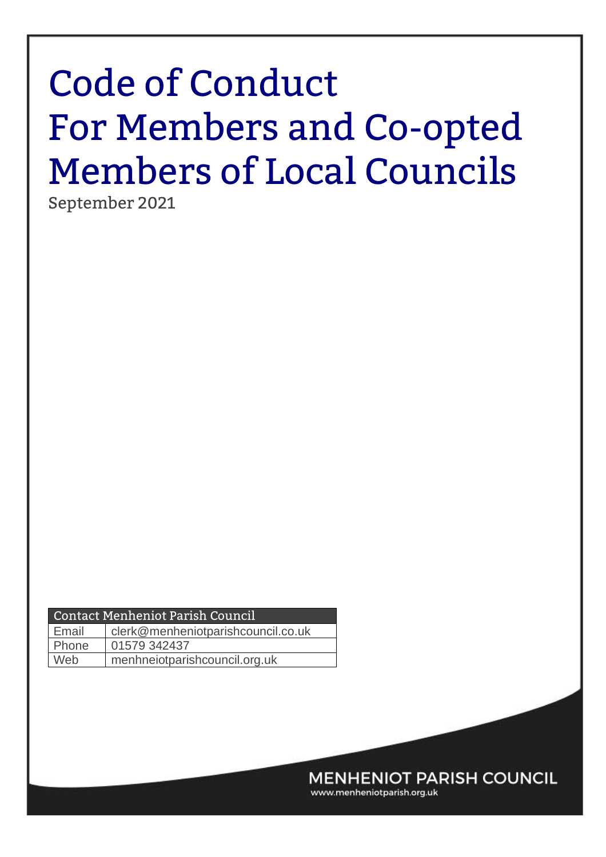# Code of Conduct For Members and Co-opted Members of Local Councils

September 2021

| Contact Menheniot Parish Council     |                                    |  |  |
|--------------------------------------|------------------------------------|--|--|
| Email                                | clerk@menheniotparishcouncil.co.uk |  |  |
| Phone                                | 01579 342437                       |  |  |
| Web<br>menhneiotparishcouncil.org.uk |                                    |  |  |
|                                      |                                    |  |  |

**MENHENIOT PARISH COUNCIL** 

www.menheniotparish.org.uk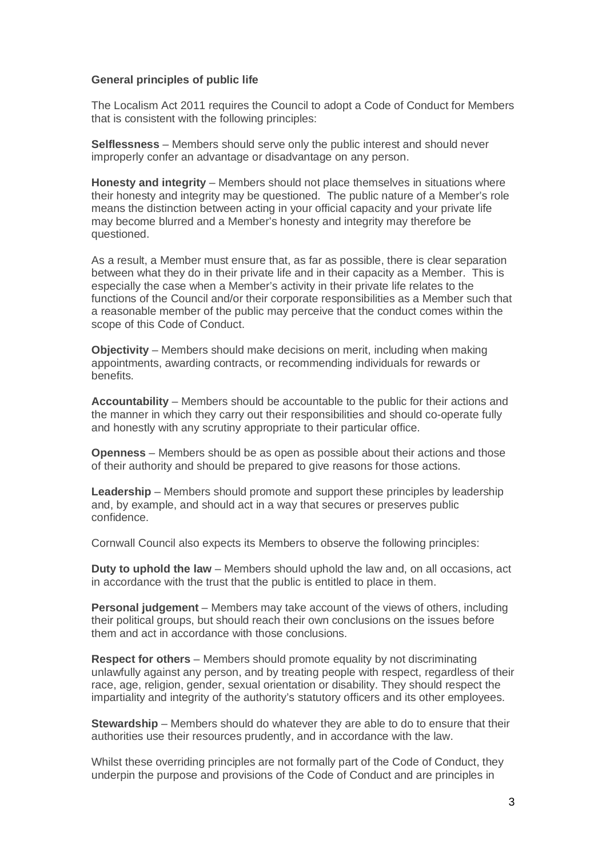#### **General principles of public life**

The Localism Act 2011 requires the Council to adopt a Code of Conduct for Members that is consistent with the following principles:

**Selflessness** – Members should serve only the public interest and should never improperly confer an advantage or disadvantage on any person.

**Honesty and integrity** – Members should not place themselves in situations where their honesty and integrity may be questioned. The public nature of a Member's role means the distinction between acting in your official capacity and your private life may become blurred and a Member's honesty and integrity may therefore be questioned.

As a result, a Member must ensure that, as far as possible, there is clear separation between what they do in their private life and in their capacity as a Member. This is especially the case when a Member's activity in their private life relates to the functions of the Council and/or their corporate responsibilities as a Member such that a reasonable member of the public may perceive that the conduct comes within the scope of this Code of Conduct.

**Objectivity** – Members should make decisions on merit, including when making appointments, awarding contracts, or recommending individuals for rewards or benefits.

**Accountability** – Members should be accountable to the public for their actions and the manner in which they carry out their responsibilities and should co-operate fully and honestly with any scrutiny appropriate to their particular office.

**Openness** – Members should be as open as possible about their actions and those of their authority and should be prepared to give reasons for those actions.

**Leadership** – Members should promote and support these principles by leadership and, by example, and should act in a way that secures or preserves public confidence.

Cornwall Council also expects its Members to observe the following principles:

**Duty to uphold the law** – Members should uphold the law and, on all occasions, act in accordance with the trust that the public is entitled to place in them.

**Personal judgement** – Members may take account of the views of others, including their political groups, but should reach their own conclusions on the issues before them and act in accordance with those conclusions.

**Respect for others** – Members should promote equality by not discriminating unlawfully against any person, and by treating people with respect, regardless of their race, age, religion, gender, sexual orientation or disability. They should respect the impartiality and integrity of the authority's statutory officers and its other employees.

**Stewardship** – Members should do whatever they are able to do to ensure that their authorities use their resources prudently, and in accordance with the law.

Whilst these overriding principles are not formally part of the Code of Conduct, they underpin the purpose and provisions of the Code of Conduct and are principles in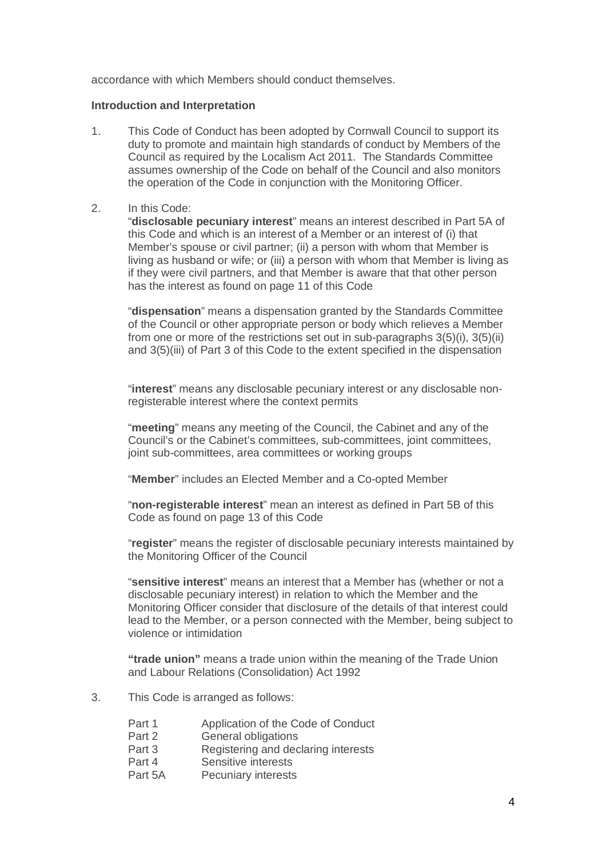accordance with which Members should conduct themselves.

#### **Introduction and Interpretation**

1. This Code of Conduct has been adopted by Cornwall Council to support its duty to promote and maintain high standards of conduct by Members of the Council as required by the Localism Act 2011. The Standards Committee assumes ownership of the Code on behalf of the Council and also monitors the operation of the Code in conjunction with the Monitoring Officer.

#### 2. In this Code:

"**disclosable pecuniary interest**" means an interest described in Part 5A of this Code and which is an interest of a Member or an interest of (i) that Member's spouse or civil partner; (ii) a person with whom that Member is living as husband or wife; or (iii) a person with whom that Member is living as if they were civil partners, and that Member is aware that that other person has the interest as found on page 11 of this Code

"**dispensation**" means a dispensation granted by the Standards Committee of the Council or other appropriate person or body which relieves a Member from one or more of the restrictions set out in sub-paragraphs 3(5)(i), 3(5)(ii) and 3(5)(iii) of Part 3 of this Code to the extent specified in the dispensation

"**interest**" means any disclosable pecuniary interest or any disclosable nonregisterable interest where the context permits

"**meeting**" means any meeting of the Council, the Cabinet and any of the Council's or the Cabinet's committees, sub-committees, joint committees, joint sub-committees, area committees or working groups

"**Member**" includes an Elected Member and a Co-opted Member

"**non-registerable interest**" mean an interest as defined in Part 5B of this Code as found on page 13 of this Code

"**register**" means the register of disclosable pecuniary interests maintained by the Monitoring Officer of the Council

"**sensitive interest**" means an interest that a Member has (whether or not a disclosable pecuniary interest) in relation to which the Member and the Monitoring Officer consider that disclosure of the details of that interest could lead to the Member, or a person connected with the Member, being subject to violence or intimidation

**"trade union"** means a trade union within the meaning of the Trade Union and Labour Relations (Consolidation) Act 1992

- 3. This Code is arranged as follows:
	- Part 1 Application of the Code of Conduct<br>Part 2 General obligations
	- **General obligations**
	- Part 3 Registering and declaring interests
	- Part 4 Sensitive interests
	- Part 5A Pecuniary interests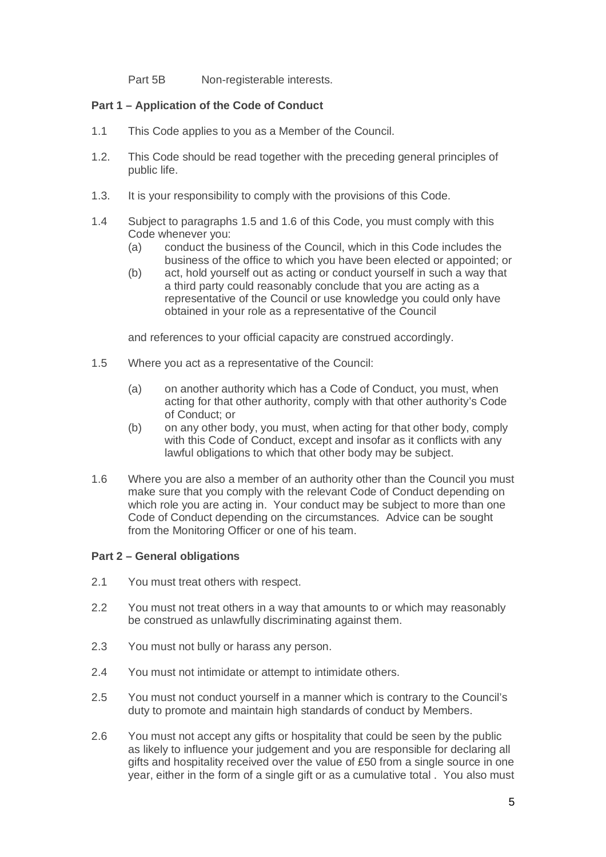Part 5B Non-registerable interests.

#### **Part 1 – Application of the Code of Conduct**

- 1.1 This Code applies to you as a Member of the Council.
- 1.2. This Code should be read together with the preceding general principles of public life.
- 1.3. It is your responsibility to comply with the provisions of this Code.
- 1.4 Subject to paragraphs 1.5 and 1.6 of this Code, you must comply with this Code whenever you:
	- (a) conduct the business of the Council, which in this Code includes the business of the office to which you have been elected or appointed; or
	- (b) act, hold yourself out as acting or conduct yourself in such a way that a third party could reasonably conclude that you are acting as a representative of the Council or use knowledge you could only have obtained in your role as a representative of the Council

and references to your official capacity are construed accordingly.

- 1.5 Where you act as a representative of the Council:
	- (a) on another authority which has a Code of Conduct, you must, when acting for that other authority, comply with that other authority's Code of Conduct; or
	- (b) on any other body, you must, when acting for that other body, comply with this Code of Conduct, except and insofar as it conflicts with any lawful obligations to which that other body may be subject.
- 1.6 Where you are also a member of an authority other than the Council you must make sure that you comply with the relevant Code of Conduct depending on which role you are acting in. Your conduct may be subject to more than one Code of Conduct depending on the circumstances. Advice can be sought from the Monitoring Officer or one of his team.

#### **Part 2 – General obligations**

- 2.1 You must treat others with respect.
- 2.2 You must not treat others in a way that amounts to or which may reasonably be construed as unlawfully discriminating against them.
- 2.3 You must not bully or harass any person.
- 2.4 You must not intimidate or attempt to intimidate others.
- 2.5 You must not conduct yourself in a manner which is contrary to the Council's duty to promote and maintain high standards of conduct by Members.
- 2.6 You must not accept any gifts or hospitality that could be seen by the public as likely to influence your judgement and you are responsible for declaring all gifts and hospitality received over the value of £50 from a single source in one year, either in the form of a single gift or as a cumulative total . You also must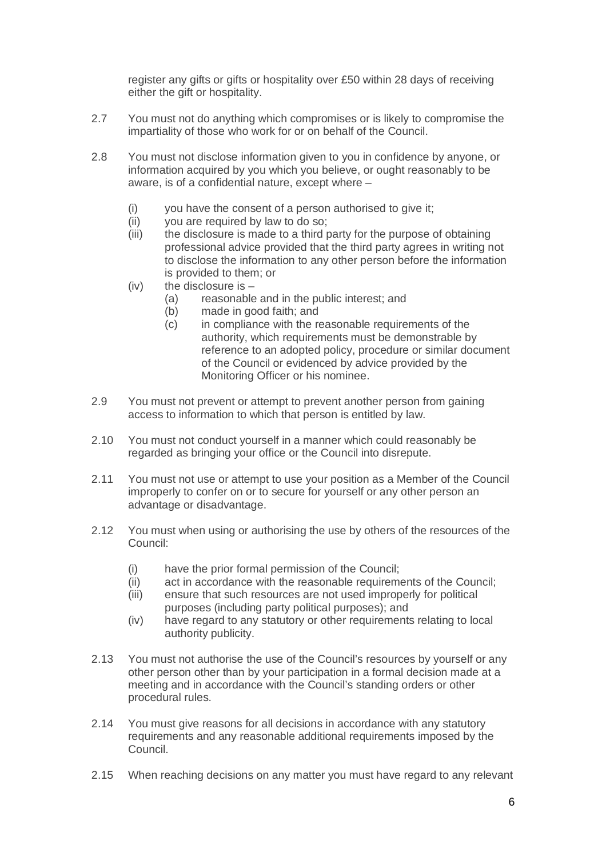register any gifts or gifts or hospitality over £50 within 28 days of receiving either the gift or hospitality.

- 2.7 You must not do anything which compromises or is likely to compromise the impartiality of those who work for or on behalf of the Council.
- 2.8 You must not disclose information given to you in confidence by anyone, or information acquired by you which you believe, or ought reasonably to be aware, is of a confidential nature, except where –
	- (i) you have the consent of a person authorised to give it;
	- (ii) you are required by law to do so;
	- (iii) the disclosure is made to a third party for the purpose of obtaining professional advice provided that the third party agrees in writing not to disclose the information to any other person before the information is provided to them; or
	- $(iv)$  the disclosure is  $-$ 
		- (a) reasonable and in the public interest; and
		- (b) made in good faith; and
		- (c) in compliance with the reasonable requirements of the authority, which requirements must be demonstrable by reference to an adopted policy, procedure or similar document of the Council or evidenced by advice provided by the Monitoring Officer or his nominee.
- 2.9 You must not prevent or attempt to prevent another person from gaining access to information to which that person is entitled by law.
- 2.10 You must not conduct yourself in a manner which could reasonably be regarded as bringing your office or the Council into disrepute.
- 2.11 You must not use or attempt to use your position as a Member of the Council improperly to confer on or to secure for yourself or any other person an advantage or disadvantage.
- 2.12 You must when using or authorising the use by others of the resources of the Council:
	- (i) have the prior formal permission of the Council;
	- (ii) act in accordance with the reasonable requirements of the Council;
	- (iii) ensure that such resources are not used improperly for political purposes (including party political purposes); and
	- (iv) have regard to any statutory or other requirements relating to local authority publicity.
- 2.13 You must not authorise the use of the Council's resources by yourself or any other person other than by your participation in a formal decision made at a meeting and in accordance with the Council's standing orders or other procedural rules.
- 2.14 You must give reasons for all decisions in accordance with any statutory requirements and any reasonable additional requirements imposed by the Council.
- 2.15 When reaching decisions on any matter you must have regard to any relevant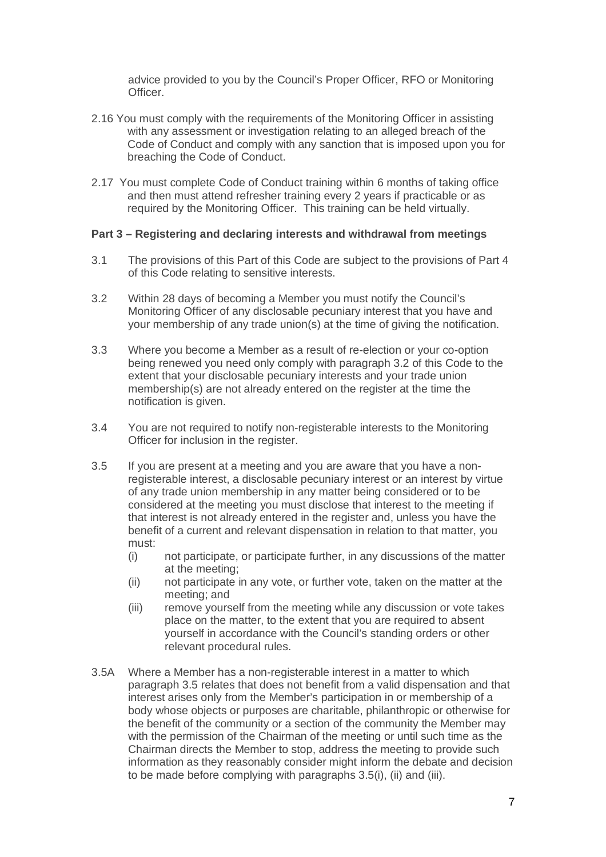advice provided to you by the Council's Proper Officer, RFO or Monitoring Officer<sup>1</sup>

- 2.16 You must comply with the requirements of the Monitoring Officer in assisting with any assessment or investigation relating to an alleged breach of the Code of Conduct and comply with any sanction that is imposed upon you for breaching the Code of Conduct.
- 2.17 You must complete Code of Conduct training within 6 months of taking office and then must attend refresher training every 2 years if practicable or as required by the Monitoring Officer. This training can be held virtually.

#### **Part 3 – Registering and declaring interests and withdrawal from meetings**

- 3.1 The provisions of this Part of this Code are subject to the provisions of Part 4 of this Code relating to sensitive interests.
- 3.2 Within 28 days of becoming a Member you must notify the Council's Monitoring Officer of any disclosable pecuniary interest that you have and your membership of any trade union(s) at the time of giving the notification.
- 3.3 Where you become a Member as a result of re-election or your co-option being renewed you need only comply with paragraph 3.2 of this Code to the extent that your disclosable pecuniary interests and your trade union membership(s) are not already entered on the register at the time the notification is given.
- 3.4 You are not required to notify non-registerable interests to the Monitoring Officer for inclusion in the register.
- 3.5 If you are present at a meeting and you are aware that you have a nonregisterable interest, a disclosable pecuniary interest or an interest by virtue of any trade union membership in any matter being considered or to be considered at the meeting you must disclose that interest to the meeting if that interest is not already entered in the register and, unless you have the benefit of a current and relevant dispensation in relation to that matter, you must:
	- (i) not participate, or participate further, in any discussions of the matter at the meeting;
	- (ii) not participate in any vote, or further vote, taken on the matter at the meeting; and
	- (iii) remove yourself from the meeting while any discussion or vote takes place on the matter, to the extent that you are required to absent yourself in accordance with the Council's standing orders or other relevant procedural rules.
- 3.5A Where a Member has a non-registerable interest in a matter to which paragraph 3.5 relates that does not benefit from a valid dispensation and that interest arises only from the Member's participation in or membership of a body whose objects or purposes are charitable, philanthropic or otherwise for the benefit of the community or a section of the community the Member may with the permission of the Chairman of the meeting or until such time as the Chairman directs the Member to stop, address the meeting to provide such information as they reasonably consider might inform the debate and decision to be made before complying with paragraphs 3.5(i), (ii) and (iii).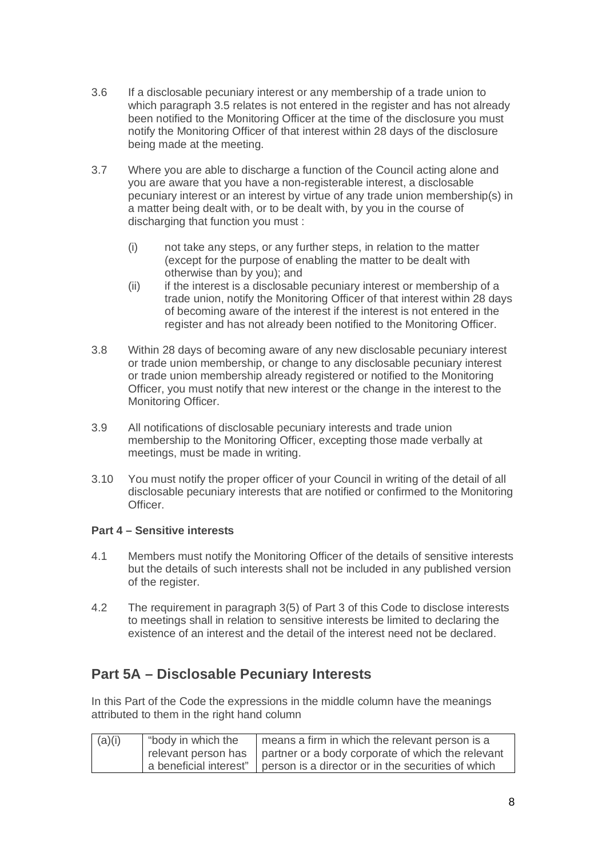- 3.6 If a disclosable pecuniary interest or any membership of a trade union to which paragraph 3.5 relates is not entered in the register and has not already been notified to the Monitoring Officer at the time of the disclosure you must notify the Monitoring Officer of that interest within 28 days of the disclosure being made at the meeting.
- 3.7 Where you are able to discharge a function of the Council acting alone and you are aware that you have a non-registerable interest, a disclosable pecuniary interest or an interest by virtue of any trade union membership(s) in a matter being dealt with, or to be dealt with, by you in the course of discharging that function you must :
	- (i) not take any steps, or any further steps, in relation to the matter (except for the purpose of enabling the matter to be dealt with otherwise than by you); and
	- (ii) if the interest is a disclosable pecuniary interest or membership of a trade union, notify the Monitoring Officer of that interest within 28 days of becoming aware of the interest if the interest is not entered in the register and has not already been notified to the Monitoring Officer.
- 3.8 Within 28 days of becoming aware of any new disclosable pecuniary interest or trade union membership, or change to any disclosable pecuniary interest or trade union membership already registered or notified to the Monitoring Officer, you must notify that new interest or the change in the interest to the Monitoring Officer.
- 3.9 All notifications of disclosable pecuniary interests and trade union membership to the Monitoring Officer, excepting those made verbally at meetings, must be made in writing.
- 3.10 You must notify the proper officer of your Council in writing of the detail of all disclosable pecuniary interests that are notified or confirmed to the Monitoring **Officer**

### **Part 4 – Sensitive interests**

- 4.1 Members must notify the Monitoring Officer of the details of sensitive interests but the details of such interests shall not be included in any published version of the register.
- 4.2 The requirement in paragraph 3(5) of Part 3 of this Code to disclose interests to meetings shall in relation to sensitive interests be limited to declaring the existence of an interest and the detail of the interest need not be declared.

# **Part 5A – Disclosable Pecuniary Interests**

In this Part of the Code the expressions in the middle column have the meanings attributed to them in the right hand column

| (a)(i) | "body in which the | means a firm in which the relevant person is a                              |
|--------|--------------------|-----------------------------------------------------------------------------|
|        |                    | relevant person has   partner or a body corporate of which the relevant     |
|        |                    | a beneficial interest"   person is a director or in the securities of which |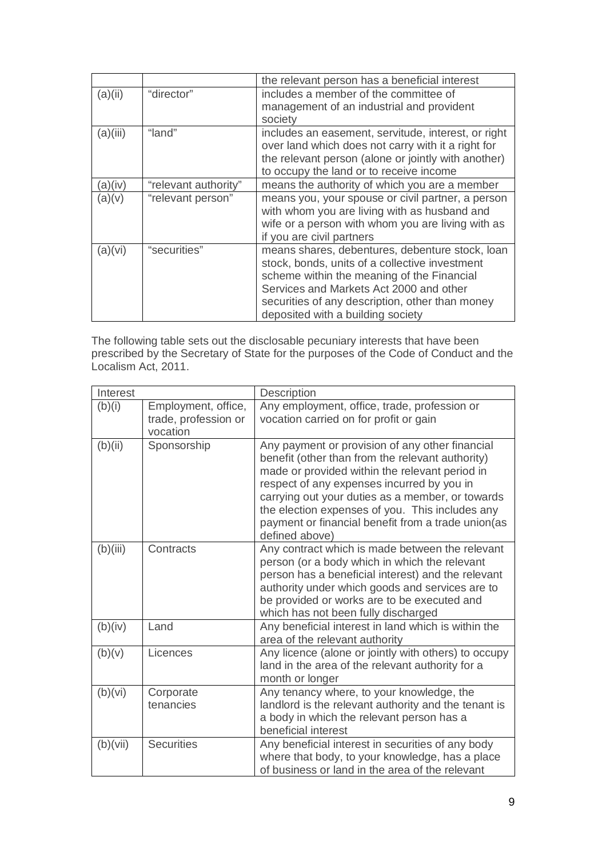|          |                      | the relevant person has a beneficial interest                                                                                                                                                                                                                                      |
|----------|----------------------|------------------------------------------------------------------------------------------------------------------------------------------------------------------------------------------------------------------------------------------------------------------------------------|
| (a)(ii)  | "director"           | includes a member of the committee of<br>management of an industrial and provident<br>society                                                                                                                                                                                      |
| (a)(iii) | "land"               | includes an easement, servitude, interest, or right<br>over land which does not carry with it a right for<br>the relevant person (alone or jointly with another)<br>to occupy the land or to receive income                                                                        |
| (a)(iv)  | "relevant authority" | means the authority of which you are a member                                                                                                                                                                                                                                      |
| (a)(v)   | "relevant person"    | means you, your spouse or civil partner, a person<br>with whom you are living with as husband and<br>wife or a person with whom you are living with as<br>if you are civil partners                                                                                                |
| (a)(vi)  | "securities"         | means shares, debentures, debenture stock, loan<br>stock, bonds, units of a collective investment<br>scheme within the meaning of the Financial<br>Services and Markets Act 2000 and other<br>securities of any description, other than money<br>deposited with a building society |

The following table sets out the disclosable pecuniary interests that have been prescribed by the Secretary of State for the purposes of the Code of Conduct and the Localism Act, 2011.

| Interest |                                                         | Description                                                                                                                                                                                                                                                                                                                                                                         |
|----------|---------------------------------------------------------|-------------------------------------------------------------------------------------------------------------------------------------------------------------------------------------------------------------------------------------------------------------------------------------------------------------------------------------------------------------------------------------|
| (b)(i)   | Employment, office,<br>trade, profession or<br>vocation | Any employment, office, trade, profession or<br>vocation carried on for profit or gain                                                                                                                                                                                                                                                                                              |
| (b)(ii)  | Sponsorship                                             | Any payment or provision of any other financial<br>benefit (other than from the relevant authority)<br>made or provided within the relevant period in<br>respect of any expenses incurred by you in<br>carrying out your duties as a member, or towards<br>the election expenses of you. This includes any<br>payment or financial benefit from a trade union (as<br>defined above) |
| (b)(iii) | Contracts                                               | Any contract which is made between the relevant<br>person (or a body which in which the relevant<br>person has a beneficial interest) and the relevant<br>authority under which goods and services are to<br>be provided or works are to be executed and<br>which has not been fully discharged                                                                                     |
| (b)(iv)  | Land                                                    | Any beneficial interest in land which is within the<br>area of the relevant authority                                                                                                                                                                                                                                                                                               |
| (b)(v)   | Licences                                                | Any licence (alone or jointly with others) to occupy<br>land in the area of the relevant authority for a<br>month or longer                                                                                                                                                                                                                                                         |
| (b)(vi)  | Corporate<br>tenancies                                  | Any tenancy where, to your knowledge, the<br>landlord is the relevant authority and the tenant is<br>a body in which the relevant person has a<br>beneficial interest                                                                                                                                                                                                               |
| (b)(vii) | <b>Securities</b>                                       | Any beneficial interest in securities of any body<br>where that body, to your knowledge, has a place<br>of business or land in the area of the relevant                                                                                                                                                                                                                             |